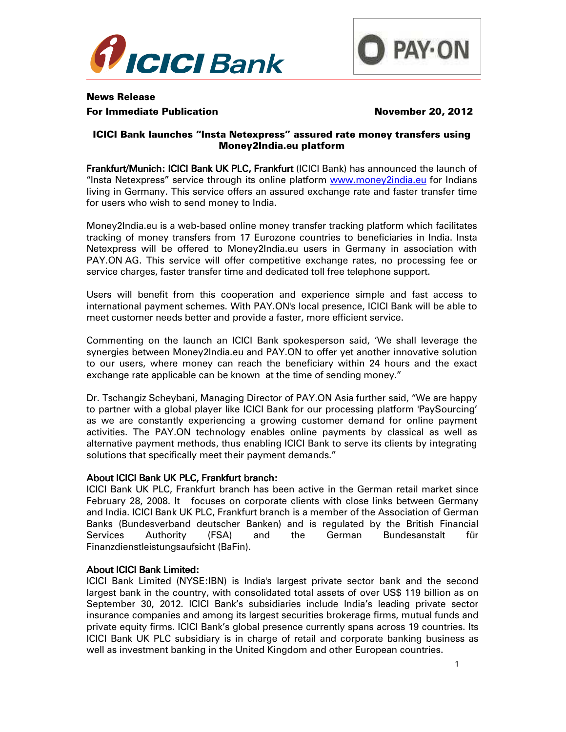



# News Release For Immediate Publication November 20, 2012

# ICICI Bank launches "Insta Netexpress" assured rate money transfers using Money2India.eu platform

Frankfurt/Munich: ICICI Bank UK PLC, Frankfurt (ICICI Bank) has announced the launch of "Insta Netexpress" service through its online platform www.money2india.eu for Indians living in Germany. This service offers an assured exchange rate and faster transfer time for users who wish to send money to India.

Money2India.eu is a web-based online money transfer tracking platform which facilitates tracking of money transfers from 17 Eurozone countries to beneficiaries in India. Insta Netexpress will be offered to Money2India.eu users in Germany in association with PAY.ON AG. This service will offer competitive exchange rates, no processing fee or service charges, faster transfer time and dedicated toll free telephone support.

Users will benefit from this cooperation and experience simple and fast access to international payment schemes. With PAY.ON's local presence, ICICI Bank will be able to meet customer needs better and provide a faster, more efficient service.

Commenting on the launch an ICICI Bank spokesperson said, 'We shall leverage the synergies between Money2India.eu and PAY.ON to offer yet another innovative solution to our users, where money can reach the beneficiary within 24 hours and the exact exchange rate applicable can be known at the time of sending money."

Dr. Tschangiz Scheybani, Managing Director of PAY.ON Asia further said, "We are happy to partner with a global player like ICICI Bank for our processing platform 'PaySourcing' as we are constantly experiencing a growing customer demand for online payment activities. The PAY.ON technology enables online payments by classical as well as alternative payment methods, thus enabling ICICI Bank to serve its clients by integrating solutions that specifically meet their payment demands."

# About ICICI Bank UK PLC, Frankfurt branch:

ICICI Bank UK PLC, Frankfurt branch has been active in the German retail market since February 28, 2008. It focuses on corporate clients with close links between Germany and India. ICICI Bank UK PLC, Frankfurt branch is a member of the Association of German Banks (Bundesverband deutscher Banken) and is regulated by the British Financial Services Authority (FSA) and the German Bundesanstalt für Finanzdienstleistungsaufsicht (BaFin).

### **About ICICI Bank Limited:**

ICICI Bank Limited (NYSE:IBN) is India's largest private sector bank and the second largest bank in the country, with consolidated total assets of over US\$ 119 billion as on September 30, 2012. ICICI Bank's subsidiaries include India's leading private sector insurance companies and among its largest securities brokerage firms, mutual funds and private equity firms. ICICI Bank's global presence currently spans across 19 countries. Its ICICI Bank UK PLC subsidiary is in charge of retail and corporate banking business as well as investment banking in the United Kingdom and other European countries.